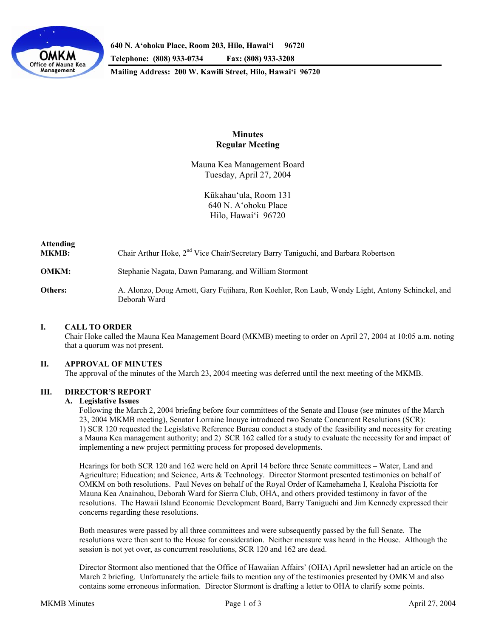

**640 N. A'ohoku Place, Room 203, Hilo, Hawai'i 96720** 

**Telephone: (808) 933-0734 Fax: (808) 933-3208** 

**Mailing Address: 200 W. Kawili Street, Hilo, Hawai'i 96720** 

# **Minutes Regular Meeting**

Mauna Kea Management Board Tuesday, April 27, 2004

> Kūkahau'ula, Room 131 640 N. A'ohoku Place Hilo, Hawai'i 96720

| <b>Attending</b><br><b>MKMB:</b> | Chair Arthur Hoke, 2 <sup>nd</sup> Vice Chair/Secretary Barry Taniguchi, and Barbara Robertson                   |
|----------------------------------|------------------------------------------------------------------------------------------------------------------|
| <b>OMKM:</b>                     | Stephanie Nagata, Dawn Pamarang, and William Stormont                                                            |
| Others:                          | A. Alonzo, Doug Arnott, Gary Fujihara, Ron Koehler, Ron Laub, Wendy Light, Antony Schinckel, and<br>Deborah Ward |

## **I. CALL TO ORDER**

 Chair Hoke called the Mauna Kea Management Board (MKMB) meeting to order on April 27, 2004 at 10:05 a.m. noting that a quorum was not present.

## **II. APPROVAL OF MINUTES**

The approval of the minutes of the March 23, 2004 meeting was deferred until the next meeting of the MKMB.

## **III. DIRECTOR'S REPORT**

#### **A. Legislative Issues**

 Following the March 2, 2004 briefing before four committees of the Senate and House (see minutes of the March 23, 2004 MKMB meeting), Senator Lorraine Inouye introduced two Senate Concurrent Resolutions (SCR): 1) SCR 120 requested the Legislative Reference Bureau conduct a study of the feasibility and necessity for creating a Mauna Kea management authority; and 2) SCR 162 called for a study to evaluate the necessity for and impact of implementing a new project permitting process for proposed developments.

 Hearings for both SCR 120 and 162 were held on April 14 before three Senate committees – Water, Land and Agriculture; Education; and Science, Arts & Technology. Director Stormont presented testimonies on behalf of OMKM on both resolutions. Paul Neves on behalf of the Royal Order of Kamehameha I, Kealoha Pisciotta for Mauna Kea Anainahou, Deborah Ward for Sierra Club, OHA, and others provided testimony in favor of the resolutions. The Hawaii Island Economic Development Board, Barry Taniguchi and Jim Kennedy expressed their concerns regarding these resolutions.

 Both measures were passed by all three committees and were subsequently passed by the full Senate. The resolutions were then sent to the House for consideration. Neither measure was heard in the House. Although the session is not yet over, as concurrent resolutions, SCR 120 and 162 are dead.

 Director Stormont also mentioned that the Office of Hawaiian Affairs' (OHA) April newsletter had an article on the March 2 briefing. Unfortunately the article fails to mention any of the testimonies presented by OMKM and also contains some erroneous information. Director Stormont is drafting a letter to OHA to clarify some points.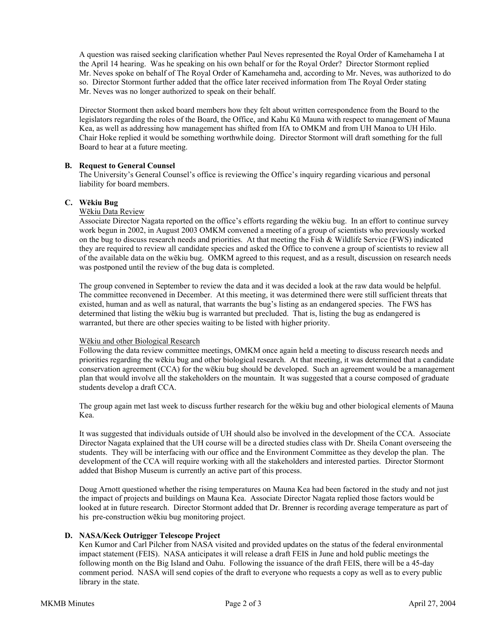A question was raised seeking clarification whether Paul Neves represented the Royal Order of Kamehameha I at the April 14 hearing. Was he speaking on his own behalf or for the Royal Order? Director Stormont replied Mr. Neves spoke on behalf of The Royal Order of Kamehameha and, according to Mr. Neves, was authorized to do so. Director Stormont further added that the office later received information from The Royal Order stating Mr. Neves was no longer authorized to speak on their behalf.

 Director Stormont then asked board members how they felt about written correspondence from the Board to the legislators regarding the roles of the Board, the Office, and Kahu Kū Mauna with respect to management of Mauna Kea, as well as addressing how management has shifted from IfA to OMKM and from UH Manoa to UH Hilo. Chair Hoke replied it would be something worthwhile doing. Director Stormont will draft something for the full Board to hear at a future meeting.

## **B. Request to General Counsel**

The University's General Counsel's office is reviewing the Office's inquiry regarding vicarious and personal liability for board members.

#### **C. Wēkiu Bug**

# Wēkiu Data Review

Associate Director Nagata reported on the office's efforts regarding the wēkiu bug. In an effort to continue survey work begun in 2002, in August 2003 OMKM convened a meeting of a group of scientists who previously worked on the bug to discuss research needs and priorities. At that meeting the Fish & Wildlife Service (FWS) indicated they are required to review all candidate species and asked the Office to convene a group of scientists to review all of the available data on the wēkiu bug. OMKM agreed to this request, and as a result, discussion on research needs was postponed until the review of the bug data is completed.

The group convened in September to review the data and it was decided a look at the raw data would be helpful. The committee reconvened in December. At this meeting, it was determined there were still sufficient threats that existed, human and as well as natural, that warrants the bug's listing as an endangered species. The FWS has determined that listing the wēkiu bug is warranted but precluded. That is, listing the bug as endangered is warranted, but there are other species waiting to be listed with higher priority.

#### Wēkiu and other Biological Research

Following the data review committee meetings, OMKM once again held a meeting to discuss research needs and priorities regarding the wēkiu bug and other biological research. At that meeting, it was determined that a candidate conservation agreement (CCA) for the wēkiu bug should be developed. Such an agreement would be a management plan that would involve all the stakeholders on the mountain. It was suggested that a course composed of graduate students develop a draft CCA.

The group again met last week to discuss further research for the wēkiu bug and other biological elements of Mauna Kea.

It was suggested that individuals outside of UH should also be involved in the development of the CCA. Associate Director Nagata explained that the UH course will be a directed studies class with Dr. Sheila Conant overseeing the students. They will be interfacing with our office and the Environment Committee as they develop the plan. The development of the CCA will require working with all the stakeholders and interested parties. Director Stormont added that Bishop Museum is currently an active part of this process.

Doug Arnott questioned whether the rising temperatures on Mauna Kea had been factored in the study and not just the impact of projects and buildings on Mauna Kea. Associate Director Nagata replied those factors would be looked at in future research. Director Stormont added that Dr. Brenner is recording average temperature as part of his pre-construction wēkiu bug monitoring project.

## **D. NASA/Keck Outrigger Telescope Project**

Ken Kumor and Carl Pilcher from NASA visited and provided updates on the status of the federal environmental impact statement (FEIS). NASA anticipates it will release a draft FEIS in June and hold public meetings the following month on the Big Island and Oahu. Following the issuance of the draft FEIS, there will be a 45-day comment period. NASA will send copies of the draft to everyone who requests a copy as well as to every public library in the state.